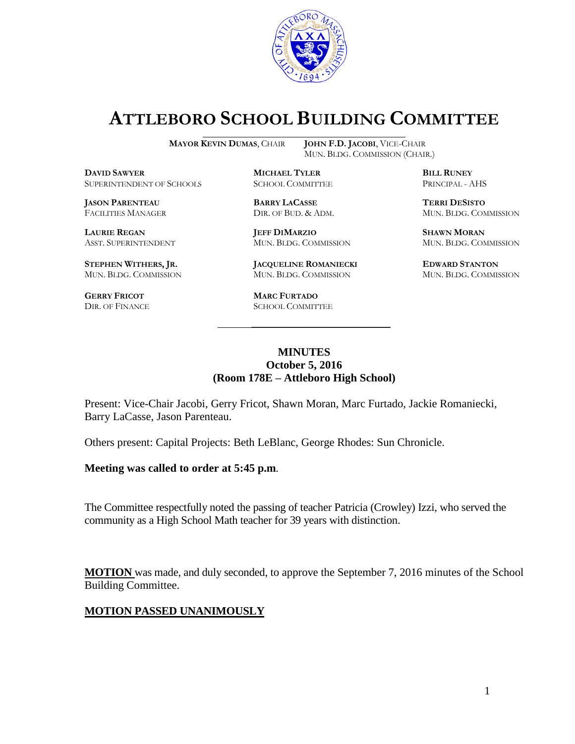

# **ATTLEBORO SCHOOL BUILDING COMMITTEE**

MUN. BLDG. COMMISSION (CHAIR.)

**MAYOR KEVIN DUMAS**, CHAIR **JOHN F.D. JACOBI**, VICE-CHAIR

**DAVID SAWYER MICHAEL TYLER BILL RUNEY** SUPERINTENDENT OF SCHOOLS SCHOOL COMMITTEE PRINCIPAL - AHS

**JASON PARENTEAU BARRY LACASSE TERRI DESISTO**

**STEPHEN WITHERS, JR. JACQUELINE ROMANIECKI EDWARD STANTON**

**GERRY FRICOT MARC FURTADO**

**LAURIE REGAN JEFF DIMARZIO SHAWN MORAN** ASST. SUPERINTENDENT MUN. BLDG. COMMISSION MUN. BLDG. COMMISSION

MUN. BLDG. COMMISSION MUN. BLDG. COMMISSION MUN. BLDG. COMMISSION

SCHOOL COMMITTEE

FACILITIES MANAGER DIR. OF BUD. & ADM. MUN. BLDG. COMMISSION

#### **MINUTES October 5, 2016 (Room 178E – Attleboro High School)**

\_\_\_\_\_\_\_\_\_\_\_\_\_\_\_\_\_\_\_\_\_\_\_\_\_\_\_\_\_\_\_\_\_\_\_\_\_

Present: Vice-Chair Jacobi, Gerry Fricot, Shawn Moran, Marc Furtado, Jackie Romaniecki, Barry LaCasse, Jason Parenteau.

Others present: Capital Projects: Beth LeBlanc, George Rhodes: Sun Chronicle.

**Meeting was called to order at 5:45 p.m**.

The Committee respectfully noted the passing of teacher Patricia (Crowley) Izzi, who served the community as a High School Math teacher for 39 years with distinction.

**MOTION** was made, and duly seconded, to approve the September 7, 2016 minutes of the School Building Committee.

#### **MOTION PASSED UNANIMOUSLY**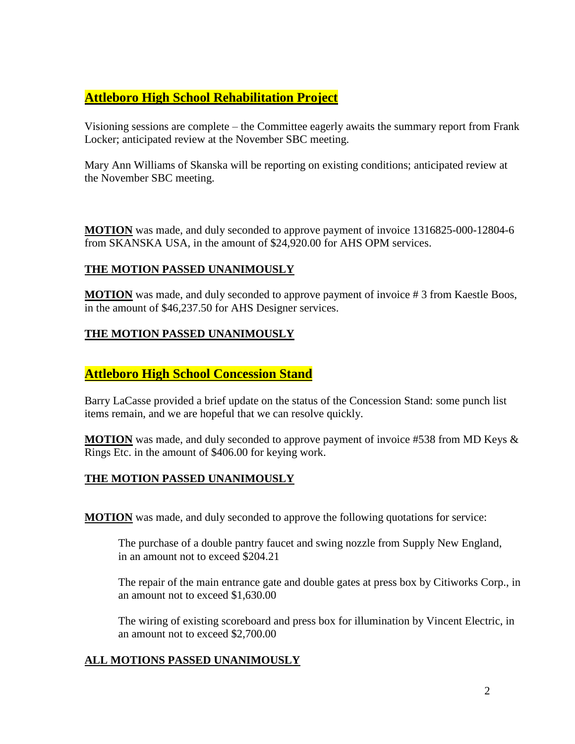## **Attleboro High School Rehabilitation Project**

Visioning sessions are complete – the Committee eagerly awaits the summary report from Frank Locker; anticipated review at the November SBC meeting.

Mary Ann Williams of Skanska will be reporting on existing conditions; anticipated review at the November SBC meeting.

**MOTION** was made, and duly seconded to approve payment of invoice 1316825-000-12804-6 from SKANSKA USA, in the amount of \$24,920.00 for AHS OPM services.

#### **THE MOTION PASSED UNANIMOUSLY**

**MOTION** was made, and duly seconded to approve payment of invoice # 3 from Kaestle Boos, in the amount of \$46,237.50 for AHS Designer services.

#### **THE MOTION PASSED UNANIMOUSLY**

### **Attleboro High School Concession Stand**

Barry LaCasse provided a brief update on the status of the Concession Stand: some punch list items remain, and we are hopeful that we can resolve quickly.

**MOTION** was made, and duly seconded to approve payment of invoice #538 from MD Keys & Rings Etc. in the amount of \$406.00 for keying work.

#### **THE MOTION PASSED UNANIMOUSLY**

**MOTION** was made, and duly seconded to approve the following quotations for service:

The purchase of a double pantry faucet and swing nozzle from Supply New England, in an amount not to exceed \$204.21

The repair of the main entrance gate and double gates at press box by Citiworks Corp., in an amount not to exceed \$1,630.00

The wiring of existing scoreboard and press box for illumination by Vincent Electric, in an amount not to exceed \$2,700.00

#### **ALL MOTIONS PASSED UNANIMOUSLY**